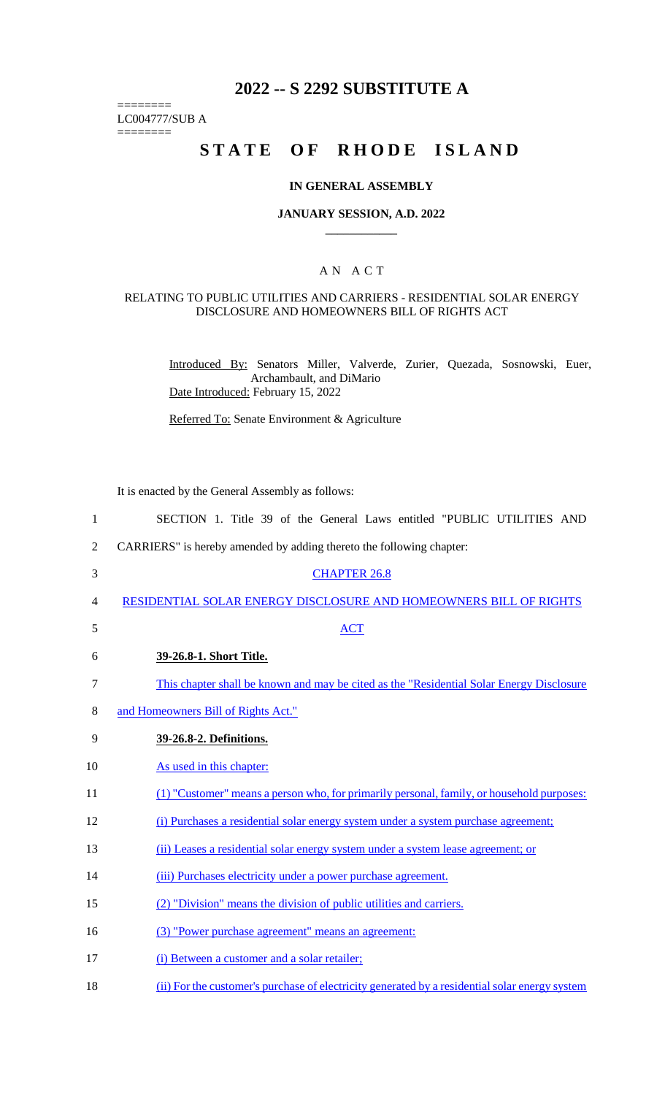## **2022 -- S 2292 SUBSTITUTE A**

LC004777/SUB A

========

========

# **STATE OF RHODE ISLAND**

## **IN GENERAL ASSEMBLY**

#### **JANUARY SESSION, A.D. 2022 \_\_\_\_\_\_\_\_\_\_\_\_**

## A N A C T

#### RELATING TO PUBLIC UTILITIES AND CARRIERS - RESIDENTIAL SOLAR ENERGY DISCLOSURE AND HOMEOWNERS BILL OF RIGHTS ACT

Introduced By: Senators Miller, Valverde, Zurier, Quezada, Sosnowski, Euer, Archambault, and DiMario Date Introduced: February 15, 2022

Referred To: Senate Environment & Agriculture

It is enacted by the General Assembly as follows:

| $\mathbf{1}$   | SECTION 1. Title 39 of the General Laws entitled "PUBLIC UTILITIES AND                         |
|----------------|------------------------------------------------------------------------------------------------|
| $\mathfrak{2}$ | CARRIERS" is hereby amended by adding thereto the following chapter:                           |
| 3              | <b>CHAPTER 26.8</b>                                                                            |
| 4              | RESIDENTIAL SOLAR ENERGY DISCLOSURE AND HOMEOWNERS BILL OF RIGHTS                              |
| 5              | <b>ACT</b>                                                                                     |
| 6              | 39-26.8-1. Short Title.                                                                        |
| 7              | This chapter shall be known and may be cited as the "Residential Solar Energy Disclosure"      |
| 8              | and Homeowners Bill of Rights Act."                                                            |
| 9              | 39-26.8-2. Definitions.                                                                        |
| 10             | As used in this chapter:                                                                       |
| 11             | (1) "Customer" means a person who, for primarily personal, family, or household purposes:      |
| 12             | (i) Purchases a residential solar energy system under a system purchase agreement;             |
| 13             | (ii) Leases a residential solar energy system under a system lease agreement; or               |
| 14             | (iii) Purchases electricity under a power purchase agreement.                                  |
| 15             | (2) "Division" means the division of public utilities and carriers.                            |
| 16             | (3) "Power purchase agreement" means an agreement:                                             |
| 17             | (i) Between a customer and a solar retailer;                                                   |
| 18             | (ii) For the customer's purchase of electricity generated by a residential solar energy system |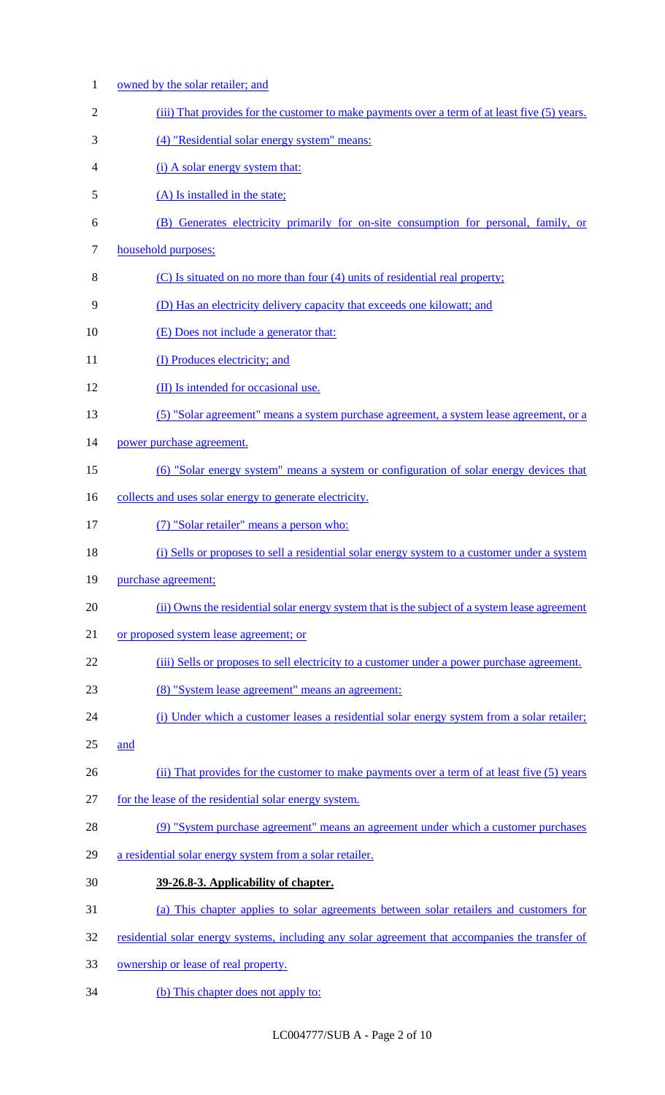| $\mathbf{1}$   | owned by the solar retailer; and                                                                 |
|----------------|--------------------------------------------------------------------------------------------------|
| $\overline{2}$ | (iii) That provides for the customer to make payments over a term of at least five (5) years.    |
| 3              | (4) "Residential solar energy system" means:                                                     |
| 4              | (i) A solar energy system that:                                                                  |
| 5              | (A) Is installed in the state;                                                                   |
| 6              | (B) Generates electricity primarily for on-site consumption for personal, family, or             |
| $\tau$         | household purposes;                                                                              |
| 8              | (C) Is situated on no more than four (4) units of residential real property;                     |
| 9              | (D) Has an electricity delivery capacity that exceeds one kilowatt; and                          |
| 10             | (E) Does not include a generator that:                                                           |
| 11             | (I) Produces electricity; and                                                                    |
| 12             | (II) Is intended for occasional use.                                                             |
| 13             | (5) "Solar agreement" means a system purchase agreement, a system lease agreement, or a          |
| 14             | power purchase agreement.                                                                        |
| 15             | (6) "Solar energy system" means a system or configuration of solar energy devices that           |
| 16             | collects and uses solar energy to generate electricity.                                          |
| 17             | (7) "Solar retailer" means a person who:                                                         |
| 18             | (i) Sells or proposes to sell a residential solar energy system to a customer under a system     |
| 19             | purchase agreement;                                                                              |
| 20             | (ii) Owns the residential solar energy system that is the subject of a system lease agreement    |
| 21             | or proposed system lease agreement; or                                                           |
| 22             | (iii) Sells or proposes to sell electricity to a customer under a power purchase agreement.      |
| 23             | (8) "System lease agreement" means an agreement:                                                 |
| 24             | (i) Under which a customer leases a residential solar energy system from a solar retailer;       |
| 25             | and                                                                                              |
| 26             | (ii) That provides for the customer to make payments over a term of at least five (5) years      |
| 27             | for the lease of the residential solar energy system.                                            |
| 28             | (9) "System purchase agreement" means an agreement under which a customer purchases              |
| 29             | a residential solar energy system from a solar retailer.                                         |
| 30             | 39-26.8-3. Applicability of chapter.                                                             |
| 31             | (a) This chapter applies to solar agreements between solar retailers and customers for           |
| 32             | residential solar energy systems, including any solar agreement that accompanies the transfer of |
| 33             | ownership or lease of real property.                                                             |
| 34             | (b) This chapter does not apply to:                                                              |

LC004777/SUB A - Page 2 of 10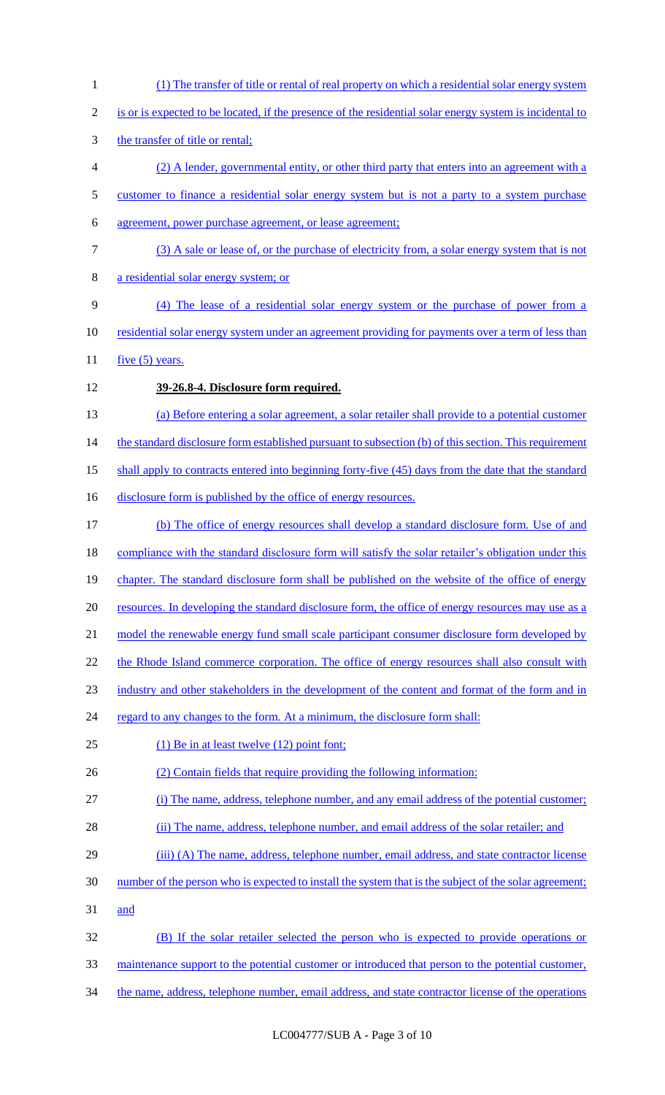1 (1) The transfer of title or rental of real property on which a residential solar energy system 2 is or is expected to be located, if the presence of the residential solar energy system is incidental to 3 the transfer of title or rental; 4 (2) A lender, governmental entity, or other third party that enters into an agreement with a 5 customer to finance a residential solar energy system but is not a party to a system purchase 6 agreement, power purchase agreement, or lease agreement; 7 (3) A sale or lease of, or the purchase of electricity from, a solar energy system that is not 8 a residential solar energy system; or 9 (4) The lease of a residential solar energy system or the purchase of power from a 10 residential solar energy system under an agreement providing for payments over a term of less than 11  $five (5) years.$ 12 **39-26.8-4. Disclosure form required.** 13 (a) Before entering a solar agreement, a solar retailer shall provide to a potential customer 14 the standard disclosure form established pursuant to subsection (b) of this section. This requirement 15 shall apply to contracts entered into beginning forty-five (45) days from the date that the standard 16 disclosure form is published by the office of energy resources. 17 (b) The office of energy resources shall develop a standard disclosure form. Use of and 18 compliance with the standard disclosure form will satisfy the solar retailer's obligation under this 19 chapter. The standard disclosure form shall be published on the website of the office of energy 20 resources. In developing the standard disclosure form, the office of energy resources may use as a 21 model the renewable energy fund small scale participant consumer disclosure form developed by 22 the Rhode Island commerce corporation. The office of energy resources shall also consult with 23 industry and other stakeholders in the development of the content and format of the form and in 24 regard to any changes to the form. At a minimum, the disclosure form shall: 25 (1) Be in at least twelve (12) point font; 26 (2) Contain fields that require providing the following information: 27 (i) The name, address, telephone number, and any email address of the potential customer; 28 (ii) The name, address, telephone number, and email address of the solar retailer; and 29 (iii) (A) The name, address, telephone number, email address, and state contractor license 30 number of the person who is expected to install the system that is the subject of the solar agreement; 31 and 32 (B) If the solar retailer selected the person who is expected to provide operations or 33 maintenance support to the potential customer or introduced that person to the potential customer, 34 the name, address, telephone number, email address, and state contractor license of the operations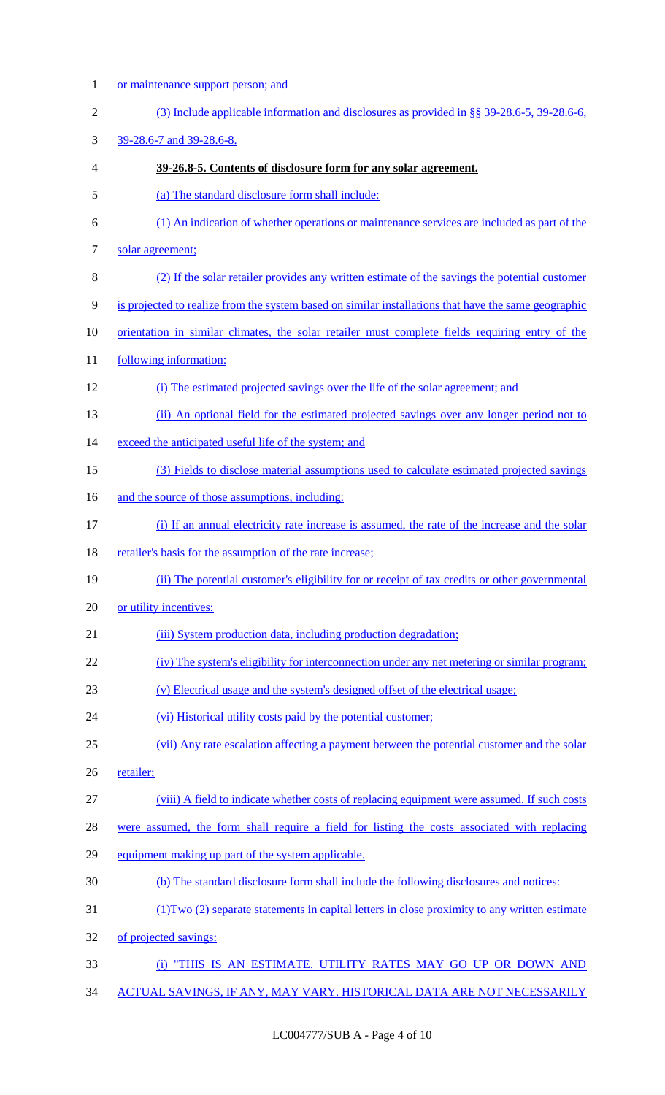1 or maintenance support person; and

| $\overline{2}$ | (3) Include applicable information and disclosures as provided in $\S$ § 39-28.6-5, 39-28.6-6,       |
|----------------|------------------------------------------------------------------------------------------------------|
| 3              | 39-28.6-7 and 39-28.6-8.                                                                             |
| 4              | 39-26.8-5. Contents of disclosure form for any solar agreement.                                      |
| 5              | (a) The standard disclosure form shall include:                                                      |
| 6              | (1) An indication of whether operations or maintenance services are included as part of the          |
| $\tau$         | solar agreement;                                                                                     |
| $8\,$          | (2) If the solar retailer provides any written estimate of the savings the potential customer        |
| 9              | is projected to realize from the system based on similar installations that have the same geographic |
| 10             | orientation in similar climates, the solar retailer must complete fields requiring entry of the      |
| 11             | following information:                                                                               |
| 12             | (i) The estimated projected savings over the life of the solar agreement; and                        |
| 13             | (ii) An optional field for the estimated projected savings over any longer period not to             |
| 14             | exceed the anticipated useful life of the system; and                                                |
| 15             | (3) Fields to disclose material assumptions used to calculate estimated projected savings            |
| 16             | and the source of those assumptions, including:                                                      |
| 17             | (i) If an annual electricity rate increase is assumed, the rate of the increase and the solar        |
| 18             | retailer's basis for the assumption of the rate increase;                                            |
| 19             | (ii) The potential customer's eligibility for or receipt of tax credits or other governmental        |
| 20             | or utility incentives;                                                                               |
| 21             | (iii) System production data, including production degradation;                                      |
| 22             | (iv) The system's eligibility for interconnection under any net metering or similar program;         |
| 23             | (v) Electrical usage and the system's designed offset of the electrical usage;                       |
| 24             | (vi) Historical utility costs paid by the potential customer;                                        |
| 25             | (vii) Any rate escalation affecting a payment between the potential customer and the solar           |
| 26             | retailer;                                                                                            |
| 27             | (viii) A field to indicate whether costs of replacing equipment were assumed. If such costs          |
| 28             | were assumed, the form shall require a field for listing the costs associated with replacing         |
| 29             | equipment making up part of the system applicable.                                                   |
| 30             | (b) The standard disclosure form shall include the following disclosures and notices:                |
| 31             | (1) Two (2) separate statements in capital letters in close proximity to any written estimate        |
| 32             | of projected savings:                                                                                |
| 33             | (i) "THIS IS AN ESTIMATE. UTILITY RATES MAY GO UP OR DOWN AND                                        |
| 34             | ACTUAL SAVINGS, IF ANY, MAY VARY. HISTORICAL DATA ARE NOT NECESSARILY                                |

LC004777/SUB A - Page 4 of 10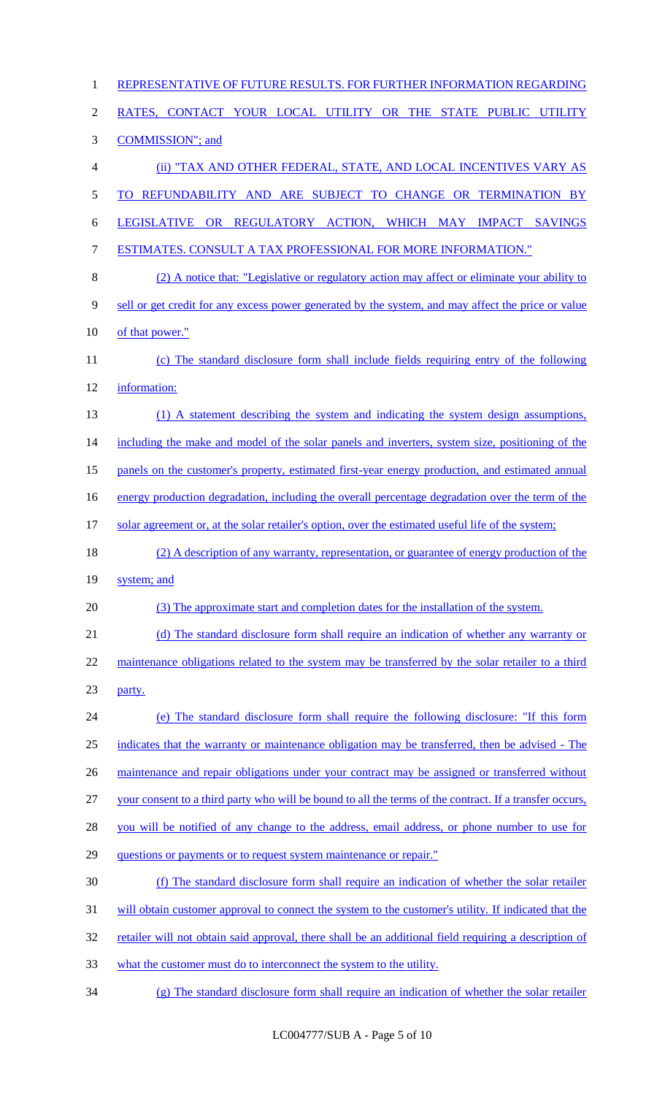| $\mathbf{1}$   | REPRESENTATIVE OF FUTURE RESULTS. FOR FURTHER INFORMATION REGARDING                                     |
|----------------|---------------------------------------------------------------------------------------------------------|
| $\overline{2}$ | RATES, CONTACT YOUR LOCAL UTILITY OR THE STATE PUBLIC UTILITY                                           |
| 3              | <b>COMMISSION"</b> ; and                                                                                |
| $\overline{4}$ | (ii) "TAX AND OTHER FEDERAL, STATE, AND LOCAL INCENTIVES VARY AS                                        |
| 5              | TO REFUNDABILITY AND ARE SUBJECT TO CHANGE OR TERMINATION BY                                            |
| 6              | LEGISLATIVE OR REGULATORY ACTION, WHICH MAY IMPACT SAVINGS                                              |
| $\tau$         | <b>ESTIMATES. CONSULT A TAX PROFESSIONAL FOR MORE INFORMATION."</b>                                     |
| $8\,$          | (2) A notice that: "Legislative or regulatory action may affect or eliminate your ability to            |
| 9              | sell or get credit for any excess power generated by the system, and may affect the price or value      |
| 10             | of that power."                                                                                         |
| 11             | (c) The standard disclosure form shall include fields requiring entry of the following                  |
| 12             | information:                                                                                            |
| 13             | (1) A statement describing the system and indicating the system design assumptions,                     |
| 14             | including the make and model of the solar panels and inverters, system size, positioning of the         |
| 15             | panels on the customer's property, estimated first-year energy production, and estimated annual         |
| 16             | energy production degradation, including the overall percentage degradation over the term of the        |
| 17             | solar agreement or, at the solar retailer's option, over the estimated useful life of the system;       |
| 18             | (2) A description of any warranty, representation, or guarantee of energy production of the             |
| 19             | system; and                                                                                             |
| 20             | (3) The approximate start and completion dates for the installation of the system.                      |
| 21             | (d) The standard disclosure form shall require an indication of whether any warranty or                 |
| 22             | maintenance obligations related to the system may be transferred by the solar retailer to a third       |
| 23             | party.                                                                                                  |
| 24             | (e) The standard disclosure form shall require the following disclosure: "If this form                  |
| 25             | indicates that the warranty or maintenance obligation may be transferred, then be advised - The         |
| 26             | maintenance and repair obligations under your contract may be assigned or transferred without           |
| 27             | your consent to a third party who will be bound to all the terms of the contract. If a transfer occurs, |
| 28             | you will be notified of any change to the address, email address, or phone number to use for            |
| 29             | questions or payments or to request system maintenance or repair."                                      |
| 30             | (f) The standard disclosure form shall require an indication of whether the solar retailer              |
| 31             | will obtain customer approval to connect the system to the customer's utility. If indicated that the    |
| 32             | retailer will not obtain said approval, there shall be an additional field requiring a description of   |
| 33             | what the customer must do to interconnect the system to the utility.                                    |
| 34             | (g) The standard disclosure form shall require an indication of whether the solar retailer              |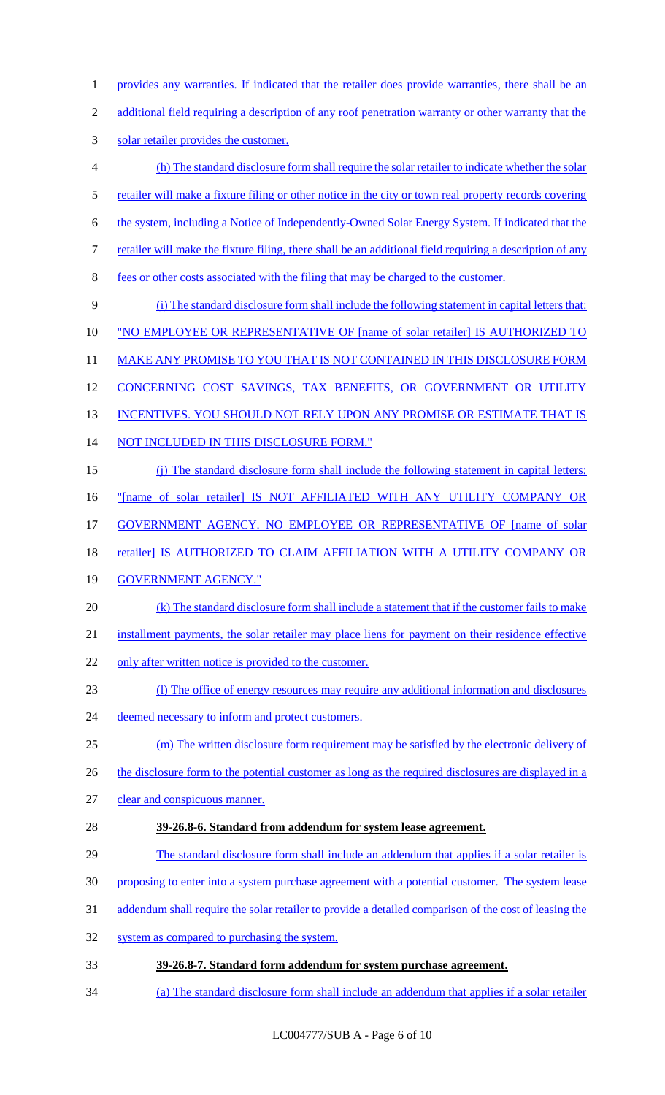- 1 provides any warranties. If indicated that the retailer does provide warranties, there shall be an
- additional field requiring a description of any roof penetration warranty or other warranty that the
- solar retailer provides the customer.
- (h) The standard disclosure form shall require the solar retailer to indicate whether the solar
- 5 retailer will make a fixture filing or other notice in the city or town real property records covering
- the system, including a Notice of Independently-Owned Solar Energy System. If indicated that the
- retailer will make the fixture filing, there shall be an additional field requiring a description of any
- fees or other costs associated with the filing that may be charged to the customer.
- (i) The standard disclosure form shall include the following statement in capital letters that:
- 10 "NO EMPLOYEE OR REPRESENTATIVE OF [name of solar retailer] IS AUTHORIZED TO
- 11 MAKE ANY PROMISE TO YOU THAT IS NOT CONTAINED IN THIS DISCLOSURE FORM
- 12 CONCERNING COST SAVINGS, TAX BENEFITS, OR GOVERNMENT OR UTILITY
- 13 INCENTIVES. YOU SHOULD NOT RELY UPON ANY PROMISE OR ESTIMATE THAT IS
- NOT INCLUDED IN THIS DISCLOSURE FORM."
- (j) The standard disclosure form shall include the following statement in capital letters:
- "[name of solar retailer] IS NOT AFFILIATED WITH ANY UTILITY COMPANY OR
- GOVERNMENT AGENCY. NO EMPLOYEE OR REPRESENTATIVE OF [name of solar
- 18 retailer] IS AUTHORIZED TO CLAIM AFFILIATION WITH A UTILITY COMPANY OR
- 19 GOVERNMENT AGENCY."
- (k) The standard disclosure form shall include a statement that if the customer fails to make
- installment payments, the solar retailer may place liens for payment on their residence effective
- 22 only after written notice is provided to the customer.
- (l) The office of energy resources may require any additional information and disclosures
- 24 deemed necessary to inform and protect customers.
- (m) The written disclosure form requirement may be satisfied by the electronic delivery of
- 26 the disclosure form to the potential customer as long as the required disclosures are displayed in a
- clear and conspicuous manner.
- **39-26.8-6. Standard from addendum for system lease agreement.**
- 29 The standard disclosure form shall include an addendum that applies if a solar retailer is
- proposing to enter into a system purchase agreement with a potential customer. The system lease
- addendum shall require the solar retailer to provide a detailed comparison of the cost of leasing the
- system as compared to purchasing the system.
- **39-26.8-7. Standard form addendum for system purchase agreement.**
- (a) The standard disclosure form shall include an addendum that applies if a solar retailer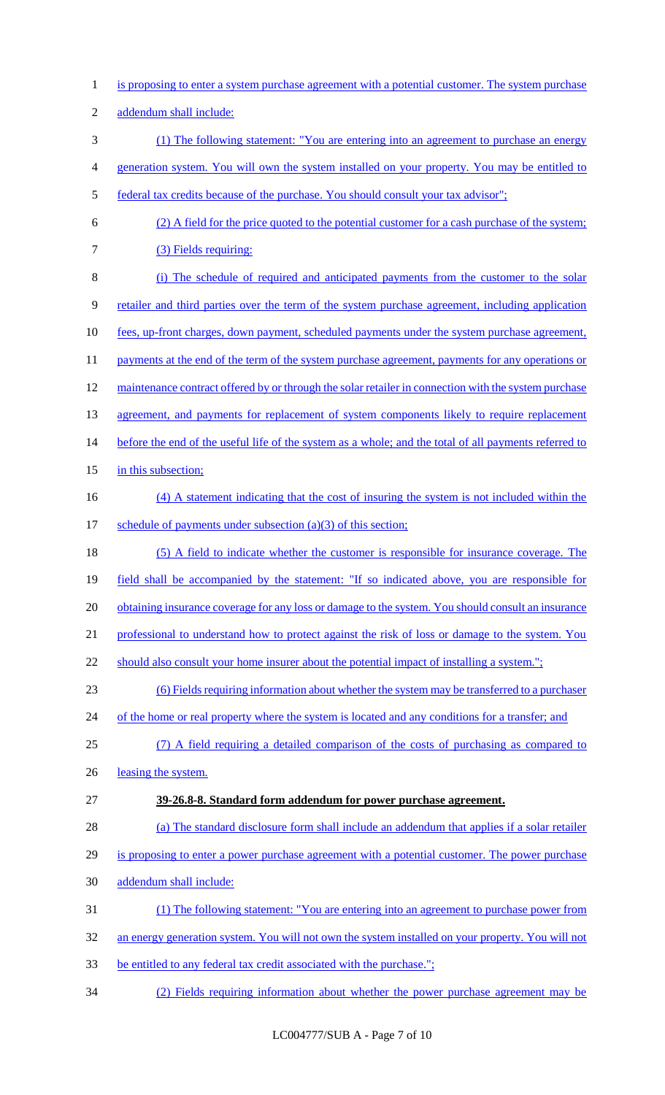1 is proposing to enter a system purchase agreement with a potential customer. The system purchase 2 addendum shall include: 3 (1) The following statement: "You are entering into an agreement to purchase an energy 4 generation system. You will own the system installed on your property. You may be entitled to 5 federal tax credits because of the purchase. You should consult your tax advisor"; 6 (2) A field for the price quoted to the potential customer for a cash purchase of the system; 7 (3) Fields requiring: 8 (i) The schedule of required and anticipated payments from the customer to the solar 9 retailer and third parties over the term of the system purchase agreement, including application 10 <u>fees, up-front charges, down payment, scheduled payments under the system purchase agreement,</u> 11 payments at the end of the term of the system purchase agreement, payments for any operations or 12 maintenance contract offered by or through the solar retailer in connection with the system purchase 13 agreement, and payments for replacement of system components likely to require replacement 14 before the end of the useful life of the system as a whole; and the total of all payments referred to 15 in this subsection; 16 (4) A statement indicating that the cost of insuring the system is not included within the 17 schedule of payments under subsection (a)(3) of this section; 18 (5) A field to indicate whether the customer is responsible for insurance coverage. The 19 field shall be accompanied by the statement: "If so indicated above, you are responsible for 20 obtaining insurance coverage for any loss or damage to the system. You should consult an insurance 21 professional to understand how to protect against the risk of loss or damage to the system. You 22 should also consult your home insurer about the potential impact of installing a system."; 23 (6) Fields requiring information about whether the system may be transferred to a purchaser 24 of the home or real property where the system is located and any conditions for a transfer; and 25 (7) A field requiring a detailed comparison of the costs of purchasing as compared to 26 leasing the system. 27 **39-26.8-8. Standard form addendum for power purchase agreement.** 28 (a) The standard disclosure form shall include an addendum that applies if a solar retailer 29 is proposing to enter a power purchase agreement with a potential customer. The power purchase 30 addendum shall include: 31 (1) The following statement: "You are entering into an agreement to purchase power from 32 an energy generation system. You will not own the system installed on your property. You will not 33 be entitled to any federal tax credit associated with the purchase."; 34 (2) Fields requiring information about whether the power purchase agreement may be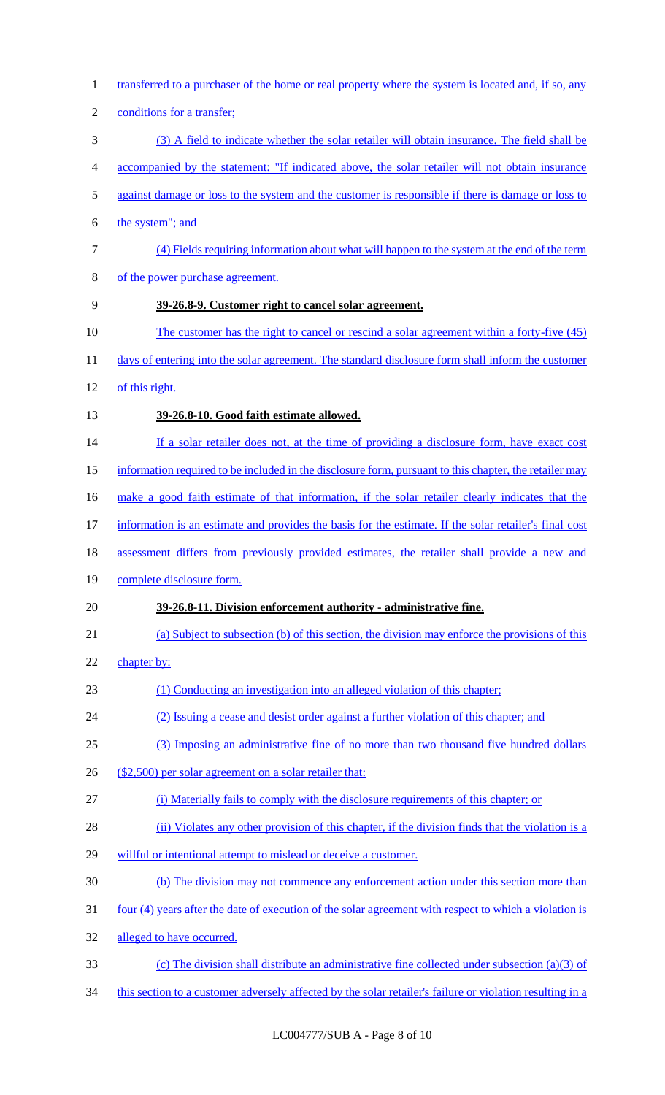transferred to a purchaser of the home or real property where the system is located and, if so, any 2 conditions for a transfer; (3) A field to indicate whether the solar retailer will obtain insurance. The field shall be accompanied by the statement: "If indicated above, the solar retailer will not obtain insurance against damage or loss to the system and the customer is responsible if there is damage or loss to the system"; and (4) Fields requiring information about what will happen to the system at the end of the term of the power purchase agreement. **39-26.8-9. Customer right to cancel solar agreement.** 10 The customer has the right to cancel or rescind a solar agreement within a forty-five (45) 11 days of entering into the solar agreement. The standard disclosure form shall inform the customer of this right. **39-26.8-10. Good faith estimate allowed.** 14 If a solar retailer does not, at the time of providing a disclosure form, have exact cost 15 information required to be included in the disclosure form, pursuant to this chapter, the retailer may make a good faith estimate of that information, if the solar retailer clearly indicates that the information is an estimate and provides the basis for the estimate. If the solar retailer's final cost assessment differs from previously provided estimates, the retailer shall provide a new and complete disclosure form. **39-26.8-11. Division enforcement authority - administrative fine.** (a) Subject to subsection (b) of this section, the division may enforce the provisions of this chapter by: (1) Conducting an investigation into an alleged violation of this chapter; (2) Issuing a cease and desist order against a further violation of this chapter; and (3) Imposing an administrative fine of no more than two thousand five hundred dollars (\$2,500) per solar agreement on a solar retailer that: (i) Materially fails to comply with the disclosure requirements of this chapter; or 28 (ii) Violates any other provision of this chapter, if the division finds that the violation is a willful or intentional attempt to mislead or deceive a customer. (b) The division may not commence any enforcement action under this section more than four (4) years after the date of execution of the solar agreement with respect to which a violation is alleged to have occurred. (c) The division shall distribute an administrative fine collected under subsection (a)(3) of 34 this section to a customer adversely affected by the solar retailer's failure or violation resulting in a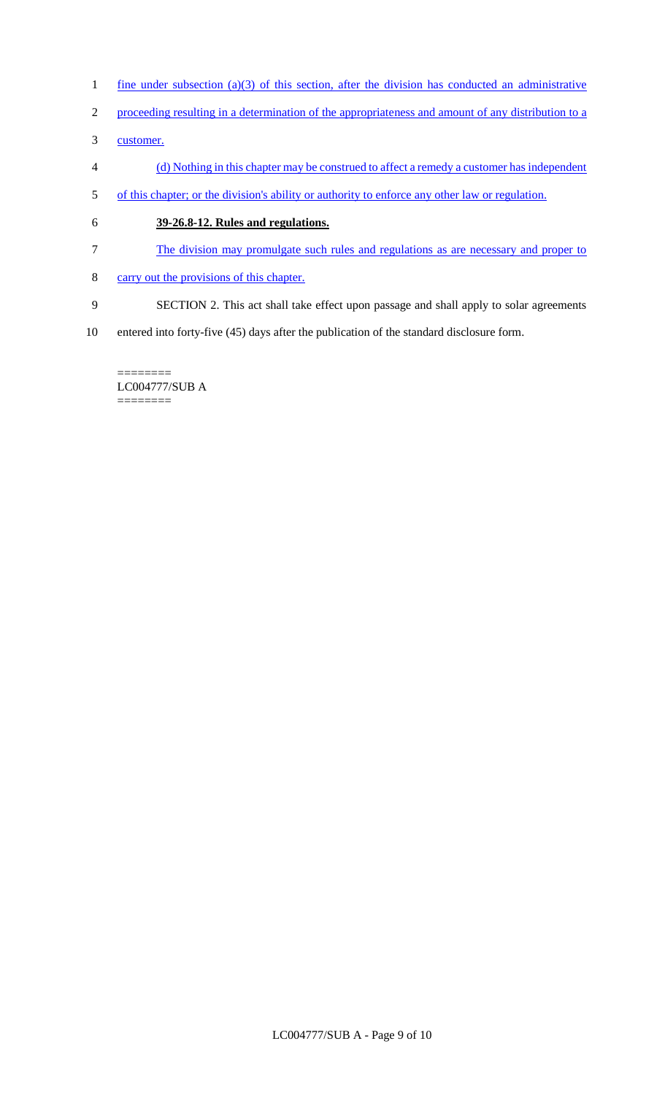- 1 fine under subsection (a)(3) of this section, after the division has conducted an administrative
- 2 proceeding resulting in a determination of the appropriateness and amount of any distribution to a
- 3 customer.
- 4 (d) Nothing in this chapter may be construed to affect a remedy a customer has independent
- 5 of this chapter; or the division's ability or authority to enforce any other law or regulation.
- 6 **39-26.8-12. Rules and regulations.**
- 7 The division may promulgate such rules and regulations as are necessary and proper to
- 8 carry out the provisions of this chapter.
- 9 SECTION 2. This act shall take effect upon passage and shall apply to solar agreements
- 10 entered into forty-five (45) days after the publication of the standard disclosure form.

======== LC004777/SUB A ========